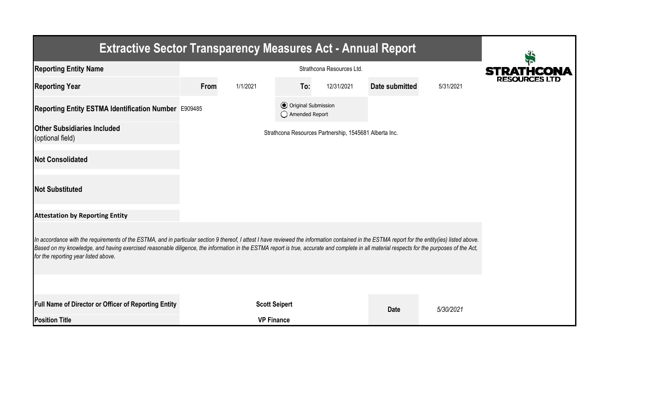| <b>Extractive Sector Transparency Measures Act - Annual Report</b>                                                                                                                                                                                                                                                                                                                                                                    |      |                      |                                                  |                                                        |                |           |                      |  |  |  |
|---------------------------------------------------------------------------------------------------------------------------------------------------------------------------------------------------------------------------------------------------------------------------------------------------------------------------------------------------------------------------------------------------------------------------------------|------|----------------------|--------------------------------------------------|--------------------------------------------------------|----------------|-----------|----------------------|--|--|--|
| <b>Reporting Entity Name</b>                                                                                                                                                                                                                                                                                                                                                                                                          |      | <b>STRATHCONA</b>    |                                                  |                                                        |                |           |                      |  |  |  |
| <b>Reporting Year</b>                                                                                                                                                                                                                                                                                                                                                                                                                 | From | 1/1/2021             | To:                                              | 12/31/2021                                             | Date submitted | 5/31/2021 | <b>RESOURCES LTD</b> |  |  |  |
| Reporting Entity ESTMA Identification Number E909485                                                                                                                                                                                                                                                                                                                                                                                  |      |                      | <b>⊙</b> Original Submission<br>◯ Amended Report |                                                        |                |           |                      |  |  |  |
| <b>Other Subsidiaries Included</b><br>(optional field)                                                                                                                                                                                                                                                                                                                                                                                |      |                      |                                                  | Strathcona Resources Partnership, 1545681 Alberta Inc. |                |           |                      |  |  |  |
| <b>Not Consolidated</b>                                                                                                                                                                                                                                                                                                                                                                                                               |      |                      |                                                  |                                                        |                |           |                      |  |  |  |
| <b>Not Substituted</b>                                                                                                                                                                                                                                                                                                                                                                                                                |      |                      |                                                  |                                                        |                |           |                      |  |  |  |
| <b>Attestation by Reporting Entity</b>                                                                                                                                                                                                                                                                                                                                                                                                |      |                      |                                                  |                                                        |                |           |                      |  |  |  |
| In accordance with the requirements of the ESTMA, and in particular section 9 thereof, I attest I have reviewed the information contained in the ESTMA report for the entity(ies) listed above.<br>Based on my knowledge, and having exercised reasonable diligence, the information in the ESTMA report is true, accurate and complete in all material respects for the purposes of the Act,<br>for the reporting year listed above. |      |                      |                                                  |                                                        |                |           |                      |  |  |  |
|                                                                                                                                                                                                                                                                                                                                                                                                                                       |      |                      |                                                  |                                                        |                |           |                      |  |  |  |
| <b>Full Name of Director or Officer of Reporting Entity</b>                                                                                                                                                                                                                                                                                                                                                                           |      | <b>Scott Seipert</b> |                                                  |                                                        | <b>Date</b>    | 5/30/2021 |                      |  |  |  |
| <b>Position Title</b>                                                                                                                                                                                                                                                                                                                                                                                                                 |      | <b>VP Finance</b>    |                                                  |                                                        |                |           |                      |  |  |  |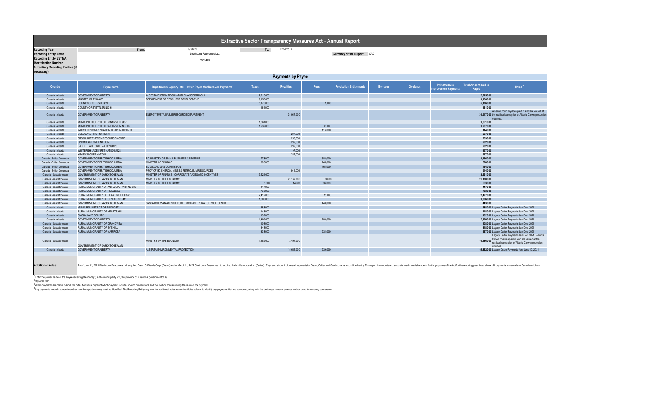|                                                                                                                                                                                  |                                                                                                                                   |                                                                                                                                                                                                                                | Extractive Sector Transparency Measures Act - Annual Report |                  |         |                                |                |                  |                                       |                                      |                                                                                                                                                                |
|----------------------------------------------------------------------------------------------------------------------------------------------------------------------------------|-----------------------------------------------------------------------------------------------------------------------------------|--------------------------------------------------------------------------------------------------------------------------------------------------------------------------------------------------------------------------------|-------------------------------------------------------------|------------------|---------|--------------------------------|----------------|------------------|---------------------------------------|--------------------------------------|----------------------------------------------------------------------------------------------------------------------------------------------------------------|
| <b>Reporting Year</b><br><b>Reporting Entity Name</b><br><b>Reporting Entity ESTMA</b><br><b>Identification Number</b><br><b>Subsidiary Reporting Entities (if</b><br>necessary) | From:                                                                                                                             | To:<br>12/31/2021<br>Currency of the Report CAD                                                                                                                                                                                |                                                             |                  |         |                                |                |                  |                                       |                                      |                                                                                                                                                                |
|                                                                                                                                                                                  | <b>Payments by Payee</b>                                                                                                          |                                                                                                                                                                                                                                |                                                             |                  |         |                                |                |                  |                                       |                                      |                                                                                                                                                                |
| Country                                                                                                                                                                          | Payee Name <sup>1</sup>                                                                                                           | Departments, Agency, etc within Payee that Received Payments <sup>2</sup>                                                                                                                                                      | Taxes                                                       | <b>Royalties</b> | Fees    | <b>Production Entitlements</b> | <b>Bonuses</b> | <b>Dividends</b> | Infrastructure<br>mprovement Payments | <b>Total Amount paid to</b><br>Payee | Notes <sup>34</sup>                                                                                                                                            |
| Canada - Alberta                                                                                                                                                                 | <b>GOVERNMENT OF ALBERTA</b>                                                                                                      | ALBERTA ENERGY REGULATOR FINANCE BRANCH                                                                                                                                                                                        | 2,215,000                                                   |                  |         |                                |                |                  |                                       | 2,215,000                            |                                                                                                                                                                |
| Canada -Alberta                                                                                                                                                                  | MINSTER OF FINANCE                                                                                                                | DEPARTMENT OF RESOURCE DEVELOPMENT                                                                                                                                                                                             | 9,156,000                                                   |                  |         |                                |                |                  |                                       | 9,156,000                            |                                                                                                                                                                |
| Canada - Alberta                                                                                                                                                                 | COUNTY OF ST. PAUL #19                                                                                                            |                                                                                                                                                                                                                                | 5,175,000                                                   |                  | 1,000   |                                |                |                  |                                       | 5,176,000                            |                                                                                                                                                                |
| Canada - Alberta                                                                                                                                                                 | COUNTY OF STETTLER NO. 6                                                                                                          |                                                                                                                                                                                                                                | 161,000                                                     |                  |         |                                |                |                  |                                       | 161,000                              |                                                                                                                                                                |
| Canada - Alberta                                                                                                                                                                 | <b>GOVERNMENT OF ALBERTA</b>                                                                                                      | ENERGY/SUSTAINABLE RESOURCE DEPARTMENT                                                                                                                                                                                         |                                                             | 34,947,000       |         |                                |                |                  |                                       |                                      | Alberta Crown royalties paid in kind are valued at<br>34,947,000 the realized sales price of Alberta Crown production<br>volumes.                              |
| Canada -Alberta                                                                                                                                                                  | MUNICIPAL DISTRICT OF BONNYVILLE #87                                                                                              |                                                                                                                                                                                                                                | 1,861,000                                                   |                  |         |                                |                |                  |                                       | 1.861.000                            |                                                                                                                                                                |
| Canada - Alberta                                                                                                                                                                 | MUNICIPAL DISTRICT OF GREENVIEW NO. 16                                                                                            |                                                                                                                                                                                                                                | 1.239.000                                                   |                  | 48,000  |                                |                |                  |                                       | 1,287,000                            |                                                                                                                                                                |
| Canada - Alberta                                                                                                                                                                 | WORKERS' COMPENSATION BOARD - ALBERTA                                                                                             |                                                                                                                                                                                                                                |                                                             |                  | 114,000 |                                |                |                  |                                       | 114,000                              |                                                                                                                                                                |
| Canada - Alberta                                                                                                                                                                 | <b>COLD LAKE FIRST NATIONS</b>                                                                                                    |                                                                                                                                                                                                                                |                                                             | 207,000          |         |                                |                |                  |                                       | 207,000                              |                                                                                                                                                                |
| Canada -Alberta                                                                                                                                                                  | FROG LAKE ENERGY RESOURCES CORP                                                                                                   |                                                                                                                                                                                                                                |                                                             | 253,000          |         |                                |                |                  |                                       | 253,000                              |                                                                                                                                                                |
| Canada - Alberta                                                                                                                                                                 | ONION LAKE CREE NATION                                                                                                            |                                                                                                                                                                                                                                |                                                             | 202,000          |         |                                |                |                  |                                       | 202,000                              |                                                                                                                                                                |
| Canada - Alberta                                                                                                                                                                 | SADDLE LAKE CREE NATION #125                                                                                                      |                                                                                                                                                                                                                                |                                                             | 202,000          |         |                                |                |                  |                                       | 202,000                              |                                                                                                                                                                |
| Canada - Alberta                                                                                                                                                                 | WHITEFISH LAKE FIRST NATION #128                                                                                                  |                                                                                                                                                                                                                                |                                                             | 197,000          |         |                                |                |                  |                                       | 197,000                              |                                                                                                                                                                |
| Canada -Alberta                                                                                                                                                                  | <b>KEHEWIN CREE NATION</b>                                                                                                        |                                                                                                                                                                                                                                |                                                             | 257,000          |         |                                |                |                  |                                       | 257,000                              |                                                                                                                                                                |
| Canada -British Columbia                                                                                                                                                         | GOVERNMENT OF BRITISH COLUMBIA                                                                                                    | BC MINISTRY OF SMALL BUSINESS & REVENUE                                                                                                                                                                                        | 773,000                                                     |                  | 383,000 |                                |                |                  |                                       | 1.156.000                            |                                                                                                                                                                |
| Canada -British Columbia                                                                                                                                                         | GOVERNMENT OF BRITISH COLUMBIA                                                                                                    | MINISTER OF FINANCE                                                                                                                                                                                                            | 383,000                                                     |                  | 245,000 |                                |                |                  |                                       | 628,000                              |                                                                                                                                                                |
| Canada - British Columbia                                                                                                                                                        | GOVERNMENT OF BRITISH COLUMBIA                                                                                                    | BC OIL AND GAS COMMISSION                                                                                                                                                                                                      |                                                             |                  | 464,000 |                                |                |                  |                                       | 464,000                              |                                                                                                                                                                |
| Canada -British Columbia                                                                                                                                                         | GOVERNMENT OF BRITISH COLUMBIA                                                                                                    | PROV OF BC ENERGY, MINES & PETROLEUM RESOURCES                                                                                                                                                                                 |                                                             | 944,000          |         |                                |                |                  |                                       | 944,000                              |                                                                                                                                                                |
| Canada -Saskatchewan                                                                                                                                                             | <b>GOVERNMENT OF SASKATCHEWAN</b>                                                                                                 | MINISTER OF FINANCE - CORPORATE TAXES AND INCENTIVES                                                                                                                                                                           | 3,621,000                                                   |                  |         |                                |                |                  |                                       | 3,621,000                            |                                                                                                                                                                |
| Canada -Saskatchewan                                                                                                                                                             | GOVERNMENT OF SASKATCHEWAN                                                                                                        | MINISTRY OF THE ECONOMY                                                                                                                                                                                                        |                                                             | 21,167,000       | 3,000   |                                |                |                  |                                       | 21,170,000                           |                                                                                                                                                                |
| Canada -Saskatchewan                                                                                                                                                             | <b>GOVERNMENT OF SASKATCHEWAN</b>                                                                                                 | MINISTRY OF THE ECONOMY                                                                                                                                                                                                        | 5,000                                                       | 14,000           | 634.000 |                                |                |                  |                                       | 653,000                              |                                                                                                                                                                |
| Canada -Saskatchewan                                                                                                                                                             | RURAL MUNICIPALITY OF ANTELOPE PARK NO 322                                                                                        |                                                                                                                                                                                                                                | 447,000                                                     |                  |         |                                |                |                  |                                       | 447,000                              |                                                                                                                                                                |
| Canada -Saskatchewan                                                                                                                                                             | RURAL MUNICIPALITY OF HILLSDALE                                                                                                   |                                                                                                                                                                                                                                | 733,000                                                     |                  |         |                                |                |                  |                                       | 733,000                              |                                                                                                                                                                |
| Canada -Saskatchewan                                                                                                                                                             | RURAL MUNICIPALITY OF HEART'S HILL #352                                                                                           |                                                                                                                                                                                                                                | 2,412,000                                                   |                  | 15,000  |                                |                |                  |                                       | 2,427,000                            |                                                                                                                                                                |
| Canada -Saskatchewan                                                                                                                                                             | RURAL MUNICIPALITY OF SENLAC NO. 411                                                                                              |                                                                                                                                                                                                                                | 1,006,000                                                   |                  | 443,000 |                                |                |                  |                                       | 1,006,000                            |                                                                                                                                                                |
| Canada -Saskatchewan<br>Canada - Alberta                                                                                                                                         | GOVERNMENT OF SASKATCHEWAN<br>MUNICIPAL DISTRICT OF PROVOST                                                                       | SASKATCHEWAN AGRICULTURE FOOD AND RURAL SERVICE CENTRE                                                                                                                                                                         | 688,000                                                     |                  |         |                                |                |                  |                                       | 443,000                              | 688,000 Legacy Caltex Payments Jan-Dec. 2021                                                                                                                   |
| Canada - Alberta                                                                                                                                                                 | RURAL MUNICIPALITY OF HEARTS HILL                                                                                                 |                                                                                                                                                                                                                                | 148,000                                                     |                  |         |                                |                |                  |                                       |                                      | 148,000 Legacy Caltex Payments Jan-Dec. 2021                                                                                                                   |
| Canada - Alberta                                                                                                                                                                 | SMOKY LAKE COUNTY                                                                                                                 |                                                                                                                                                                                                                                | 132,000                                                     |                  |         |                                |                |                  |                                       |                                      | 132,000 Legacy Caltex Payments Jan-Dec. 2021                                                                                                                   |
| Canada - Alberta                                                                                                                                                                 | <b>GOVERNMENT OF ALBERTA</b>                                                                                                      |                                                                                                                                                                                                                                | 1.489.000                                                   |                  | 709,000 |                                |                |                  |                                       |                                      | 2,198,000 Legacy Caltex Payments Jan-Dec. 2021                                                                                                                 |
| Canada -Saskatchewar                                                                                                                                                             | RURAL MUNICIPALITY OF GRANDVIEW                                                                                                   |                                                                                                                                                                                                                                | 108,000                                                     |                  |         |                                |                |                  |                                       |                                      | 108,000 Legacy Caltex Payments Jan-Dec. 2021                                                                                                                   |
| Canada -Saskatchewan                                                                                                                                                             | RURAL MUNICIPALITY OF EYE HILL                                                                                                    |                                                                                                                                                                                                                                | 348,000                                                     |                  |         |                                |                |                  |                                       |                                      | 348,000 Legacy Caltex Payments Jan-Dec. 2021                                                                                                                   |
| Canada -Saskatchewan                                                                                                                                                             | RURAL MUNICIPALITY OF MARIPOSA                                                                                                    |                                                                                                                                                                                                                                | 333,000                                                     |                  | 234,000 |                                |                |                  |                                       |                                      | 567,000 Legacy Caltex Payments Jan-Dec. 2021                                                                                                                   |
| Canada -Saskatchewan                                                                                                                                                             | GOVERNMENT OF SASKATCHEWAN                                                                                                        | MINISTRY OF THE ECONOMY                                                                                                                                                                                                        | 1.689.000                                                   | 12,497,000       |         |                                |                |                  |                                       |                                      | Legacy Caltex Payments Jan-Dec. 2021. Alberta<br>14,186,000 Crown royalties paid in kind are valued at the<br>realized sales price of Alberta Crown production |
| Canada - Alberta                                                                                                                                                                 | <b>GOVERNMENT OF ALBERTA</b>                                                                                                      | ALBERTA ENVIRONMENTAL PROTECTION                                                                                                                                                                                               |                                                             | 15,623,000       | 239,000 |                                |                |                  |                                       |                                      | volumes.<br>15,862,000 Legacy Osum Payments Jan.-June 10, 2021                                                                                                 |
| <b>Additional Notes:</b>                                                                                                                                                         |                                                                                                                                   | As of June 11, 2021 Strathcona Resources Ltd. acquired Osum Oil Sands Corp. (Osum) and of March 11, 2022 Strathcona Resources Ltd. aquired Caltex Resources Ltd. (Caltex). Payments above includes all payments for Osum, Calt |                                                             |                  |         |                                |                |                  |                                       |                                      |                                                                                                                                                                |
|                                                                                                                                                                                  | Enter the proper name of the Payee receiving the money (i.e. the municipality of x, the province of y, national government of z). |                                                                                                                                                                                                                                |                                                             |                  |         |                                |                |                  |                                       |                                      |                                                                                                                                                                |

<sup>2</sup> Optional field.

.<br>When payments are made in kind, the notes field must highlight which payment includes in kind contributions and the method for calculating the value of the payment.<br>"Any payments made in currencies other than the report